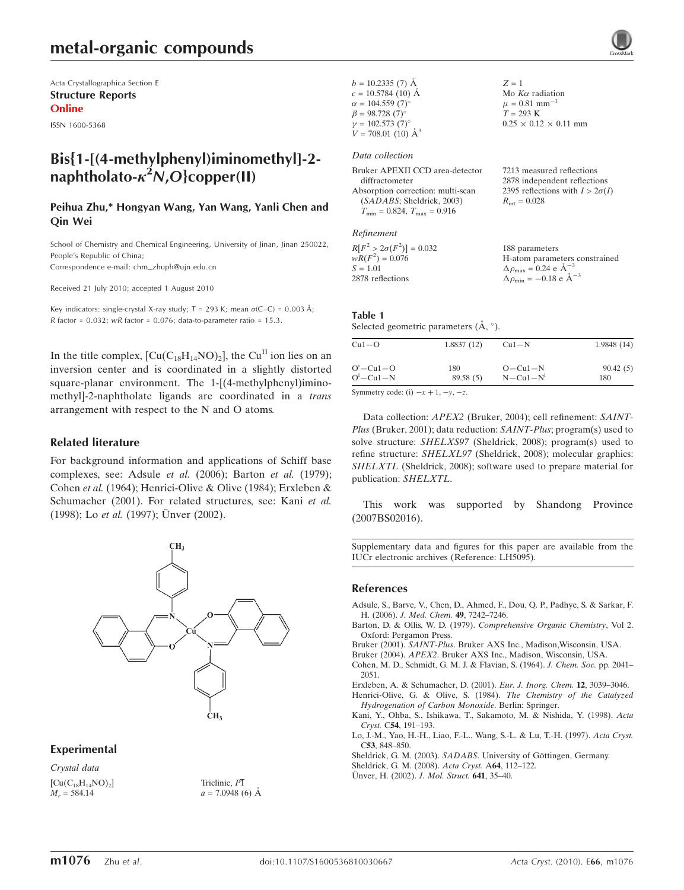# metal-organic compounds

Acta Crystallographica Section E Structure Reports Online

ISSN 1600-5368

## Bis{1-[(4-methylphenyl)iminomethyl]-2 naphtholato- $\kappa^2 N$ ,O}copper(II)

### Peihua Zhu,\* Hongyan Wang, Yan Wang, Yanli Chen and Qin Wei

School of Chemistry and Chemical Engineering, University of Jinan, Jinan 250022, People's Republic of China: Correspondence e-mail: chm\_zhuph@ujn.edu.cn

Received 21 July 2010; accepted 1 August 2010

Key indicators: single-crystal X-ray study;  $T = 293$  K; mean  $\sigma$ (C–C) = 0.003 Å; R factor =  $0.032$ ; wR factor =  $0.076$ ; data-to-parameter ratio =  $15.3$ .

In the title complex,  $\text{[Cu(C<sub>18</sub>H<sub>14</sub>NO)<sub>2</sub>]}$ , the Cu<sup>II</sup> ion lies on an inversion center and is coordinated in a slightly distorted square-planar environment. The 1-[(4-methylphenyl)iminomethyl]-2-naphtholate ligands are coordinated in a trans arrangement with respect to the N and O atoms.

### Related literature

For background information and applications of Schiff base complexes, see: Adsule et al. (2006); Barton et al. (1979); Cohen et al. (1964); Henrici-Olive & Olive (1984); Erxleben & Schumacher (2001). For related structures, see: Kani et al.  $(1998)$ ; Lo *et al.*  $(1997)$ ; Unver  $(2002)$ .



### Experimental

Crystal data  $[Cu(C_{18}H_{14}NO)_2]$  $M_r = 584.14$ 

Triclinic, P1  $a = 7.0948(6)$  Å

| $b = 10.2335(7)$ Å                                  | $Z = 1$                                                   |
|-----------------------------------------------------|-----------------------------------------------------------|
| $c = 10.5784(10)$ Å                                 | Mo $K\alpha$ radiation                                    |
| $\alpha = 104.559(7)$ °                             | $\mu = 0.81$ mm <sup>-1</sup>                             |
| $\beta = 98.728(7)$ °                               | $T = 293 \text{ K}$                                       |
| $\gamma = 102.573(7)$ °                             | $0.25 \times 0.12 \times 0.11$ mm                         |
| $V = 708.01$ (10) $\AA^3$                           |                                                           |
| Data collection                                     |                                                           |
| Bruker APEXII CCD area-detector<br>diffractometer   | 7213 measured reflections<br>2878 independent reflections |
| Absorption correction: multi-scan                   | 2395 reflections with $I > 2\sigma(I)$                    |
| (SADABS; Sheldrick, 2003)                           | $R_{\text{int}} = 0.028$                                  |
| $T_{\text{min}} = 0.824$ , $T_{\text{max}} = 0.916$ |                                                           |
|                                                     |                                                           |
| Refinement                                          |                                                           |
|                                                     |                                                           |

| $R[F^2 > 2\sigma(F^2)] = 0.032$ | 188 parameters                                     |
|---------------------------------|----------------------------------------------------|
| $wR(F^2) = 0.076$               | H-atom parameters constrained                      |
| $S = 1.01$                      | $\Delta \rho_{\text{max}} = 0.24 \text{ e A}^{-3}$ |
| 2878 reflections                | $\Delta \rho_{\text{min}} = -0.18$ e $\AA^{-3}$    |

### Table 1

Selected geometric parameters  $(\AA, \degree)$ .

| $Cu1-O$    | 1.8837(12) | $Cu1-N$         | 1.9848(14) |
|------------|------------|-----------------|------------|
| $Oi-Cu1-O$ | 180        | $O - Cu1 - N$   | 90.42(5)   |
| $Oi-Cu1-N$ | 89.58(5)   | $N - Cu1 - N^i$ | 180        |

Symmetry code: (i)  $-x + 1$ ,  $-y$ ,  $-z$ .

Data collection: APEX2 (Bruker, 2004); cell refinement: SAINT-Plus (Bruker, 2001); data reduction: SAINT-Plus; program(s) used to solve structure: SHELXS97 (Sheldrick, 2008); program(s) used to refine structure: SHELXL97 (Sheldrick, 2008); molecular graphics: SHELXTL (Sheldrick, 2008); software used to prepare material for publication: SHELXTL.

This work was supported by Shandong Province (2007BS02016).

Supplementary data and figures for this paper are available from the IUCr electronic archives (Reference: LH5095).

### References

[Adsule, S., Barve, V., Chen, D., Ahmed, F., Dou, Q. P., Padhye, S. & Sarkar, F.](https://scripts.iucr.org/cgi-bin/cr.cgi?rm=pdfbb&cnor=lh5095&bbid=BB1) H. (2006). [J. Med. Chem.](https://scripts.iucr.org/cgi-bin/cr.cgi?rm=pdfbb&cnor=lh5095&bbid=BB1) 49, 7242–7246.

- Barton, D. & Ollis, W. D. (1979). [Comprehensive Organic Chemistry](https://scripts.iucr.org/cgi-bin/cr.cgi?rm=pdfbb&cnor=lh5095&bbid=BB12), Vol 2. [Oxford: Pergamon Press.](https://scripts.iucr.org/cgi-bin/cr.cgi?rm=pdfbb&cnor=lh5095&bbid=BB12)
- Bruker (2001). SAINT-Plus[. Bruker AXS Inc., Madison,Wisconsin, USA.](https://scripts.iucr.org/cgi-bin/cr.cgi?rm=pdfbb&cnor=lh5095&bbid=BB2)
- Bruker (2004). APEX2[. Bruker AXS Inc., Madison, Wisconsin, USA.](https://scripts.iucr.org/cgi-bin/cr.cgi?rm=pdfbb&cnor=lh5095&bbid=BB3)
- [Cohen, M. D., Schmidt, G. M. J. & Flavian, S. \(1964\).](https://scripts.iucr.org/cgi-bin/cr.cgi?rm=pdfbb&cnor=lh5095&bbid=BB4) J. Chem. Soc. pp. 2041– [2051.](https://scripts.iucr.org/cgi-bin/cr.cgi?rm=pdfbb&cnor=lh5095&bbid=BB4)
- [Erxleben, A. & Schumacher, D. \(2001\).](https://scripts.iucr.org/cgi-bin/cr.cgi?rm=pdfbb&cnor=lh5095&bbid=BB5) Eur. J. Inorg. Chem. 12, 3039–3046.
- [Henrici-Olive, G. & Olive, S. \(1984\).](https://scripts.iucr.org/cgi-bin/cr.cgi?rm=pdfbb&cnor=lh5095&bbid=BB6) The Chemistry of the Catalyzed [Hydrogenation of Carbon Monoxide](https://scripts.iucr.org/cgi-bin/cr.cgi?rm=pdfbb&cnor=lh5095&bbid=BB6). Berlin: Springer.
- [Kani, Y., Ohba, S., Ishikawa, T., Sakamoto, M. & Nishida, Y. \(1998\).](https://scripts.iucr.org/cgi-bin/cr.cgi?rm=pdfbb&cnor=lh5095&bbid=BB7) Acta Cryst. C54[, 191–193.](https://scripts.iucr.org/cgi-bin/cr.cgi?rm=pdfbb&cnor=lh5095&bbid=BB7)
- [Lo, J.-M., Yao, H.-H., Liao, F.-L., Wang, S.-L. & Lu, T.-H. \(1997\).](https://scripts.iucr.org/cgi-bin/cr.cgi?rm=pdfbb&cnor=lh5095&bbid=BB8) Acta Cryst. C53[, 848–850.](https://scripts.iucr.org/cgi-bin/cr.cgi?rm=pdfbb&cnor=lh5095&bbid=BB8)
- Sheldrick, G. M. (2003). SADABS. University of Göttingen, Germany.
- [Sheldrick, G. M. \(2008\).](https://scripts.iucr.org/cgi-bin/cr.cgi?rm=pdfbb&cnor=lh5095&bbid=BB10) Acta Cryst. A64, 112–122.
- Ü[nver, H. \(2002\).](https://scripts.iucr.org/cgi-bin/cr.cgi?rm=pdfbb&cnor=lh5095&bbid=BB11) J. Mol. Struct. 641, 35-40.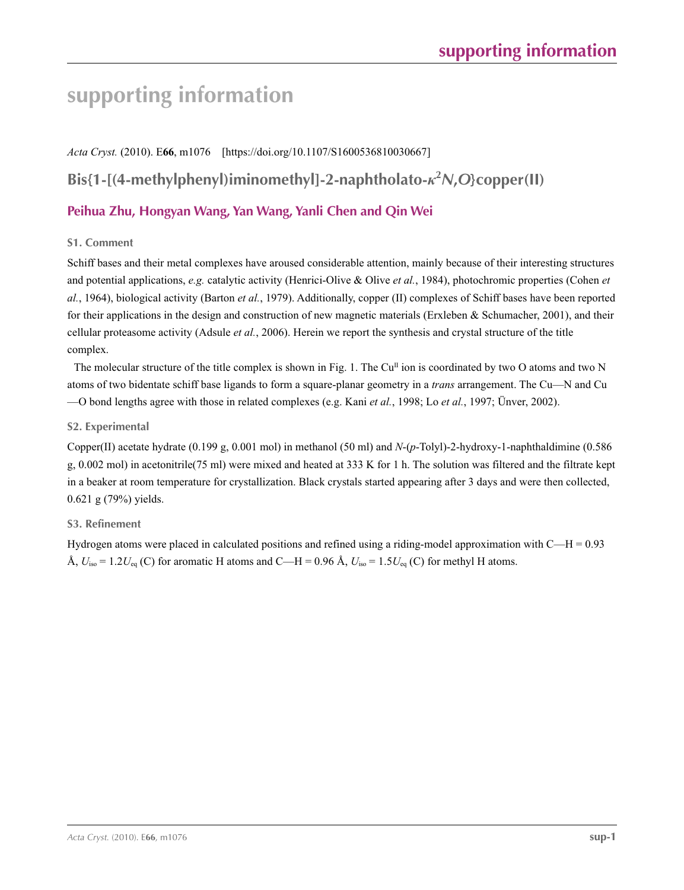# **supporting information**

*Acta Cryst.* (2010). E**66**, m1076 [https://doi.org/10.1107/S1600536810030667] **Bis{1-[(4-methylphenyl)iminomethyl]-2-naphtholato-***κ***<sup>2</sup>** *N***,***O***}copper(II) Peihua Zhu, Hongyan Wang, Yan Wang, Yanli Chen and Qin Wei**

### **S1. Comment**

Schiff bases and their metal complexes have aroused considerable attention, mainly because of their interesting structures and potential applications, *e.g.* catalytic activity (Henrici-Olive & Olive *et al.*, 1984), photochromic properties (Cohen *et al.*, 1964), biological activity (Barton *et al.*, 1979). Additionally, copper (II) complexes of Schiff bases have been reported for their applications in the design and construction of new magnetic materials (Erxleben & Schumacher, 2001), and their cellular proteasome activity (Adsule *et al.*, 2006). Herein we report the synthesis and crystal structure of the title complex.

The molecular structure of the title complex is shown in Fig. 1. The  $Cu<sup>H</sup>$  ion is coordinated by two O atoms and two N atoms of two bidentate schiff base ligands to form a square-planar geometry in a *trans* arrangement. The Cu—N and Cu —O bond lengths agree with those in related complexes (e.g. Kani *et al.*, 1998; Lo *et al.*, 1997; Ünver, 2002).

### **S2. Experimental**

Copper(II) acetate hydrate (0.199 g, 0.001 mol) in methanol (50 ml) and *N*-(*p*-Tolyl)-2-hydroxy-1-naphthaldimine (0.586 g, 0.002 mol) in acetonitrile(75 ml) were mixed and heated at 333 K for 1 h. The solution was filtered and the filtrate kept in a beaker at room temperature for crystallization. Black crystals started appearing after 3 days and were then collected, 0.621 g (79%) yields.

## **S3. Refinement**

Hydrogen atoms were placed in calculated positions and refined using a riding-model approximation with C—H = 0.93 Å,  $U_{\text{iso}} = 1.2 U_{\text{eq}}$  (C) for aromatic H atoms and C—H = 0.96 Å,  $U_{\text{iso}} = 1.5 U_{\text{eq}}$  (C) for methyl H atoms.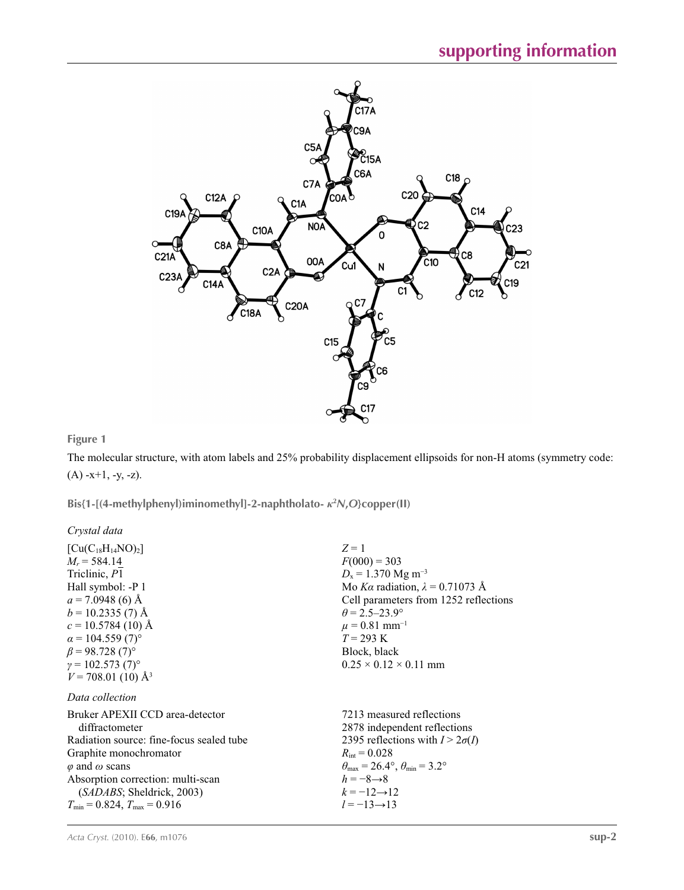

### **Figure 1**

The molecular structure, with atom labels and 25% probability displacement ellipsoids for non-H atoms (symmetry code:  $(A) -x+1, -y, -z$ ).

**Bis{1-[(4-methylphenyl)iminomethyl]-2-naphtholato-** *κ***<sup>2</sup>** *N***,***O***}copper(II)** 

*Crystal data*

| $[Cu(C_{18}H_{14}NO)_2]$                 | $Z=1$                                                                      |
|------------------------------------------|----------------------------------------------------------------------------|
| $M_r$ = 584.14                           | $F(000) = 303$                                                             |
| Triclinic, P1                            | $D_x = 1.370$ Mg m <sup>-3</sup>                                           |
| Hall symbol: -P 1                        | Mo Ka radiation, $\lambda = 0.71073$ Å                                     |
| $a = 7.0948(6)$ Å                        | Cell parameters from 1252 reflections                                      |
| $b = 10.2335(7)$ Å                       | $\theta = 2.5 - 23.9^{\circ}$                                              |
| $c = 10.5784(10)$ Å                      | $\mu = 0.81$ mm <sup>-1</sup>                                              |
| $\alpha$ = 104.559 (7) <sup>o</sup>      | $T = 293 \text{ K}$                                                        |
| $\beta$ = 98.728 (7) <sup>o</sup>        | Block, black                                                               |
| $\gamma = 102.573(7)$ °                  | $0.25 \times 0.12 \times 0.11$ mm                                          |
| $V = 708.01$ (10) Å <sup>3</sup>         |                                                                            |
| Data collection                          |                                                                            |
| Bruker APEXII CCD area-detector          | 7213 measured reflections                                                  |
| diffractometer                           | 2878 independent reflections                                               |
| Radiation source: fine-focus sealed tube | 2395 reflections with $I > 2\sigma(I)$                                     |
| Graphite monochromator                   | $R_{\rm int} = 0.028$                                                      |
| $\varphi$ and $\omega$ scans             | $\theta_{\text{max}} = 26.4^{\circ}$ , $\theta_{\text{min}} = 3.2^{\circ}$ |
| Absorption correction: multi-scan        | $h = -8 \rightarrow 8$                                                     |
| (SADABS; Sheldrick, 2003)                | $k = -12 \rightarrow 12$                                                   |
| $T_{\min}$ = 0.824, $T_{\max}$ = 0.916   | $l = -13 \rightarrow 13$                                                   |
|                                          |                                                                            |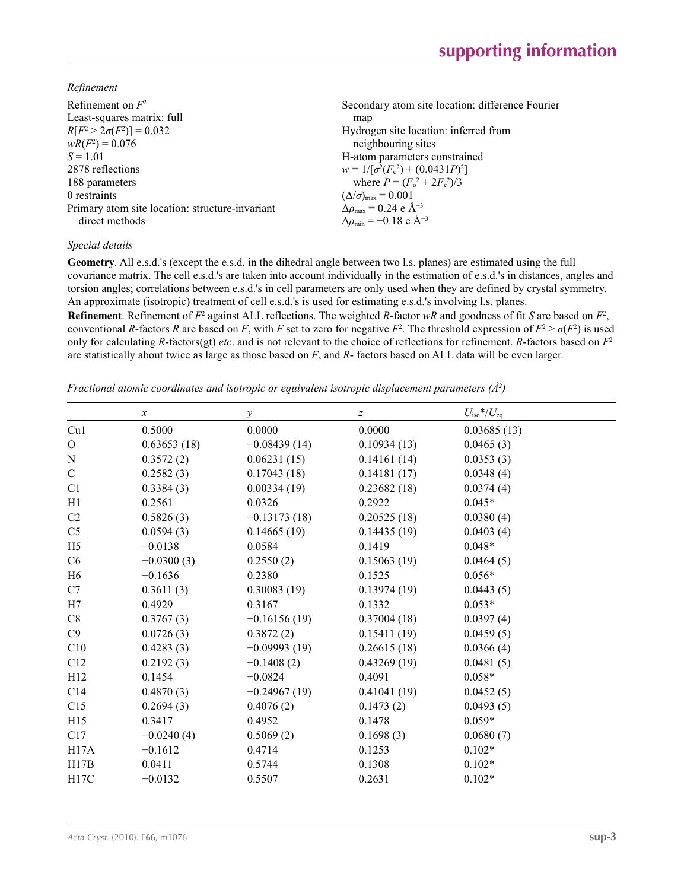*Refinement*

| Refinement on $F^2$                             | Secondary atom site location: difference Fourier   |
|-------------------------------------------------|----------------------------------------------------|
| Least-squares matrix: full                      | map                                                |
| $R[F^2 > 2\sigma(F^2)] = 0.032$                 | Hydrogen site location: inferred from              |
| $wR(F^2) = 0.076$                               | neighbouring sites                                 |
| $S = 1.01$                                      | H-atom parameters constrained                      |
| 2878 reflections                                | $w = 1/[\sigma^2(F_0^2) + (0.0431P)^2]$            |
| 188 parameters                                  | where $P = (F_o^2 + 2F_c^2)/3$                     |
| 0 restraints                                    | $(\Delta/\sigma)_{\text{max}} = 0.001$             |
| Primary atom site location: structure-invariant | $\Delta \rho_{\text{max}} = 0.24 \text{ e A}^{-3}$ |
| direct methods                                  | $\Delta\rho_{\rm min} = -0.18$ e Å <sup>-3</sup>   |

### *Special details*

**Geometry**. All e.s.d.'s (except the e.s.d. in the dihedral angle between two l.s. planes) are estimated using the full covariance matrix. The cell e.s.d.'s are taken into account individually in the estimation of e.s.d.'s in distances, angles and torsion angles; correlations between e.s.d.'s in cell parameters are only used when they are defined by crystal symmetry. An approximate (isotropic) treatment of cell e.s.d.'s is used for estimating e.s.d.'s involving l.s. planes.

**Refinement**. Refinement of  $F^2$  against ALL reflections. The weighted R-factor wR and goodness of fit *S* are based on  $F^2$ , conventional *R*-factors *R* are based on *F*, with *F* set to zero for negative  $F^2$ . The threshold expression of  $F^2 > \sigma(F^2)$  is used only for calculating *R*-factors(gt) *etc*. and is not relevant to the choice of reflections for refinement. *R*-factors based on *F*<sup>2</sup> are statistically about twice as large as those based on *F*, and *R*- factors based on ALL data will be even larger.

*Fractional atomic coordinates and isotropic or equivalent isotropic displacement parameters (Å<sup>2</sup>)* 

|                | $\boldsymbol{x}$ | $\mathcal{Y}$  | Z           | $U_{\rm iso}$ */ $U_{\rm eq}$ |
|----------------|------------------|----------------|-------------|-------------------------------|
| Cu1            | 0.5000           | 0.0000         | 0.0000      | 0.03685(13)                   |
| $\mathbf{O}$   | 0.63653(18)      | $-0.08439(14)$ | 0.10934(13) | 0.0465(3)                     |
| ${\bf N}$      | 0.3572(2)        | 0.06231(15)    | 0.14161(14) | 0.0353(3)                     |
| $\mathsf{C}$   | 0.2582(3)        | 0.17043(18)    | 0.14181(17) | 0.0348(4)                     |
| C1             | 0.3384(3)        | 0.00334(19)    | 0.23682(18) | 0.0374(4)                     |
| H1             | 0.2561           | 0.0326         | 0.2922      | $0.045*$                      |
| C <sub>2</sub> | 0.5826(3)        | $-0.13173(18)$ | 0.20525(18) | 0.0380(4)                     |
| C <sub>5</sub> | 0.0594(3)        | 0.14665(19)    | 0.14435(19) | 0.0403(4)                     |
| H <sub>5</sub> | $-0.0138$        | 0.0584         | 0.1419      | $0.048*$                      |
| C6             | $-0.0300(3)$     | 0.2550(2)      | 0.15063(19) | 0.0464(5)                     |
| H <sub>6</sub> | $-0.1636$        | 0.2380         | 0.1525      | $0.056*$                      |
| C7             | 0.3611(3)        | 0.30083(19)    | 0.13974(19) | 0.0443(5)                     |
| H7             | 0.4929           | 0.3167         | 0.1332      | $0.053*$                      |
| C8             | 0.3767(3)        | $-0.16156(19)$ | 0.37004(18) | 0.0397(4)                     |
| C9             | 0.0726(3)        | 0.3872(2)      | 0.15411(19) | 0.0459(5)                     |
| C10            | 0.4283(3)        | $-0.09993(19)$ | 0.26615(18) | 0.0366(4)                     |
| C12            | 0.2192(3)        | $-0.1408(2)$   | 0.43269(19) | 0.0481(5)                     |
| H12            | 0.1454           | $-0.0824$      | 0.4091      | $0.058*$                      |
| C14            | 0.4870(3)        | $-0.24967(19)$ | 0.41041(19) | 0.0452(5)                     |
| C15            | 0.2694(3)        | 0.4076(2)      | 0.1473(2)   | 0.0493(5)                     |
| H15            | 0.3417           | 0.4952         | 0.1478      | $0.059*$                      |
| C17            | $-0.0240(4)$     | 0.5069(2)      | 0.1698(3)   | 0.0680(7)                     |
| H17A           | $-0.1612$        | 0.4714         | 0.1253      | $0.102*$                      |
| H17B           | 0.0411           | 0.5744         | 0.1308      | $0.102*$                      |
| H17C           | $-0.0132$        | 0.5507         | 0.2631      | $0.102*$                      |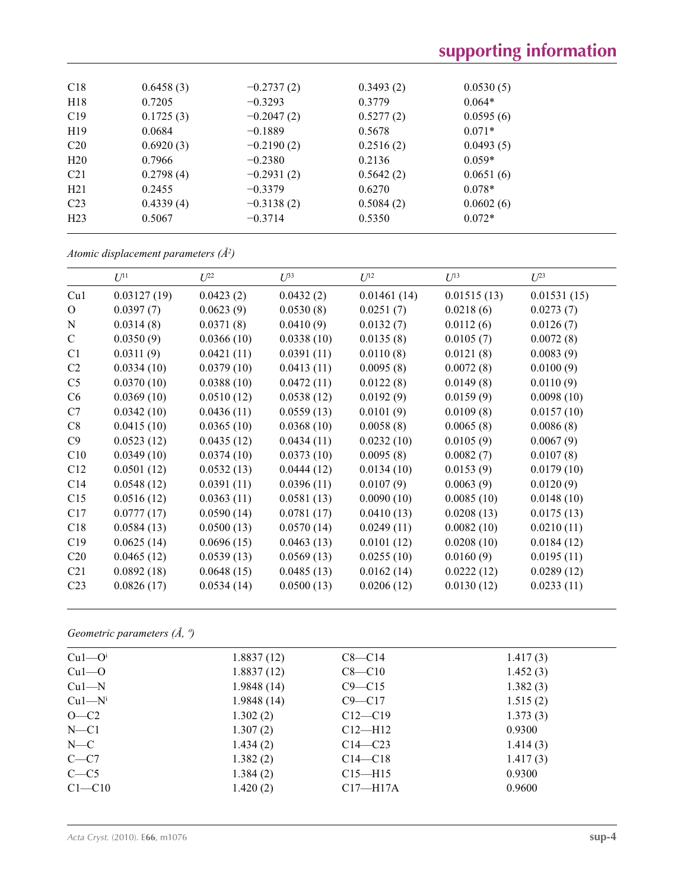| C18             | 0.6458(3) | $-0.2737(2)$ | 0.3493(2) | 0.0530(5) |  |
|-----------------|-----------|--------------|-----------|-----------|--|
| H18             | 0.7205    | $-0.3293$    | 0.3779    | $0.064*$  |  |
| C19             | 0.1725(3) | $-0.2047(2)$ | 0.5277(2) | 0.0595(6) |  |
| H <sub>19</sub> | 0.0684    | $-0.1889$    | 0.5678    | $0.071*$  |  |
| C <sub>20</sub> | 0.6920(3) | $-0.2190(2)$ | 0.2516(2) | 0.0493(5) |  |
| H20             | 0.7966    | $-0.2380$    | 0.2136    | $0.059*$  |  |
| C <sub>21</sub> | 0.2798(4) | $-0.2931(2)$ | 0.5642(2) | 0.0651(6) |  |
| H21             | 0.2455    | $-0.3379$    | 0.6270    | $0.078*$  |  |
| C <sub>23</sub> | 0.4339(4) | $-0.3138(2)$ | 0.5084(2) | 0.0602(6) |  |
| H23             | 0.5067    | $-0.3714$    | 0.5350    | $0.072*$  |  |
|                 |           |              |           |           |  |

*Atomic displacement parameters (Å2 )*

|                 | $U^{11}$    | $U^{22}$   | $U^{33}$   | $U^{12}$    | $U^{13}$    | $U^{23}$    |
|-----------------|-------------|------------|------------|-------------|-------------|-------------|
| Cu1             | 0.03127(19) | 0.0423(2)  | 0.0432(2)  | 0.01461(14) | 0.01515(13) | 0.01531(15) |
| $\Omega$        | 0.0397(7)   | 0.0623(9)  | 0.0530(8)  | 0.0251(7)   | 0.0218(6)   | 0.0273(7)   |
| ${\bf N}$       | 0.0314(8)   | 0.0371(8)  | 0.0410(9)  | 0.0132(7)   | 0.0112(6)   | 0.0126(7)   |
| $\mathcal{C}$   | 0.0350(9)   | 0.0366(10) | 0.0338(10) | 0.0135(8)   | 0.0105(7)   | 0.0072(8)   |
| C1              | 0.0311(9)   | 0.0421(11) | 0.0391(11) | 0.0110(8)   | 0.0121(8)   | 0.0083(9)   |
| C <sub>2</sub>  | 0.0334(10)  | 0.0379(10) | 0.0413(11) | 0.0095(8)   | 0.0072(8)   | 0.0100(9)   |
| C <sub>5</sub>  | 0.0370(10)  | 0.0388(10) | 0.0472(11) | 0.0122(8)   | 0.0149(8)   | 0.0110(9)   |
| C6              | 0.0369(10)  | 0.0510(12) | 0.0538(12) | 0.0192(9)   | 0.0159(9)   | 0.0098(10)  |
| C7              | 0.0342(10)  | 0.0436(11) | 0.0559(13) | 0.0101(9)   | 0.0109(8)   | 0.0157(10)  |
| C8              | 0.0415(10)  | 0.0365(10) | 0.0368(10) | 0.0058(8)   | 0.0065(8)   | 0.0086(8)   |
| C9              | 0.0523(12)  | 0.0435(12) | 0.0434(11) | 0.0232(10)  | 0.0105(9)   | 0.0067(9)   |
| C10             | 0.0349(10)  | 0.0374(10) | 0.0373(10) | 0.0095(8)   | 0.0082(7)   | 0.0107(8)   |
| C12             | 0.0501(12)  | 0.0532(13) | 0.0444(12) | 0.0134(10)  | 0.0153(9)   | 0.0179(10)  |
| C14             | 0.0548(12)  | 0.0391(11) | 0.0396(11) | 0.0107(9)   | 0.0063(9)   | 0.0120(9)   |
| C15             | 0.0516(12)  | 0.0363(11) | 0.0581(13) | 0.0090(10)  | 0.0085(10)  | 0.0148(10)  |
| C17             | 0.0777(17)  | 0.0590(14) | 0.0781(17) | 0.0410(13)  | 0.0208(13)  | 0.0175(13)  |
| C18             | 0.0584(13)  | 0.0500(13) | 0.0570(14) | 0.0249(11)  | 0.0082(10)  | 0.0210(11)  |
| C19             | 0.0625(14)  | 0.0696(15) | 0.0463(13) | 0.0101(12)  | 0.0208(10)  | 0.0184(12)  |
| C20             | 0.0465(12)  | 0.0539(13) | 0.0569(13) | 0.0255(10)  | 0.0160(9)   | 0.0195(11)  |
| C21             | 0.0892(18)  | 0.0648(15) | 0.0485(13) | 0.0162(14)  | 0.0222(12)  | 0.0289(12)  |
| C <sub>23</sub> | 0.0826(17)  | 0.0534(14) | 0.0500(13) | 0.0206(12)  | 0.0130(12)  | 0.0233(11)  |

*Geometric parameters (Å, º)*

| Cu1—O <sup>i</sup> | 1.8837(12) | $C8 - C14$   | 1.417(3) |
|--------------------|------------|--------------|----------|
| $Cu1-O$            | 1.8837(12) | $C8 - C10$   | 1.452(3) |
| $Cu1-M$            | 1.9848(14) | $C9 - C15$   | 1.382(3) |
| $Cu1-Ni$           | 1.9848(14) | $C9 - C17$   | 1.515(2) |
| $O-C2$             | 1.302(2)   | $C12 - C19$  | 1.373(3) |
| $N - C1$           | 1.307(2)   | $C12 - H12$  | 0.9300   |
| $N-C$              | 1.434(2)   | $C14 - C23$  | 1.414(3) |
| $C - C7$           | 1.382(2)   | $C14 - C18$  | 1.417(3) |
| $C - C$ 5          | 1.384(2)   | $C15 - H15$  | 0.9300   |
| $C1 - C10$         | 1.420(2)   | $C17 - H17A$ | 0.9600   |
|                    |            |              |          |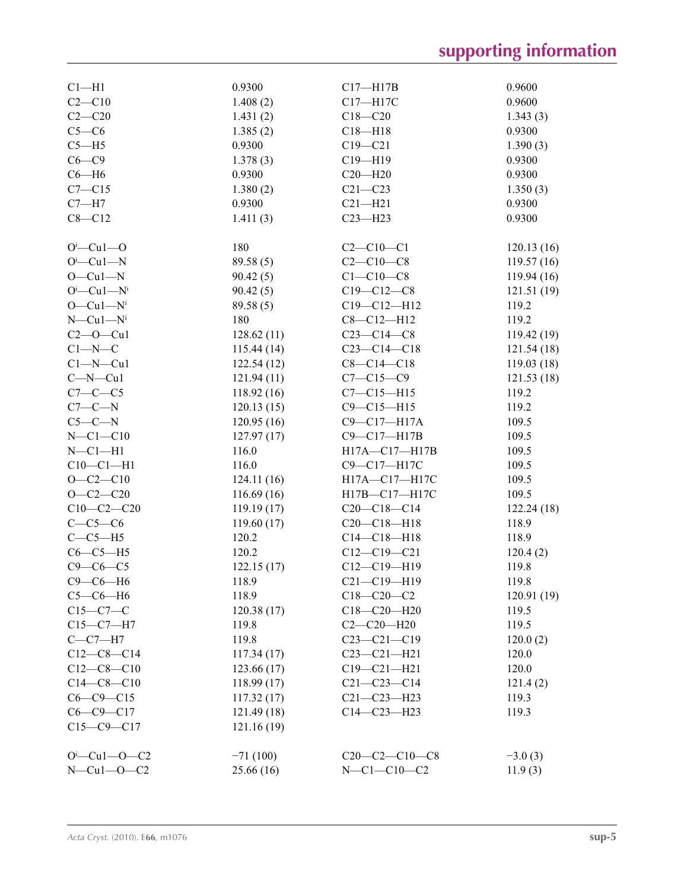| $Cl - H1$                 | 0.9300     | $C17 - H17B$      | 0.9600     |
|---------------------------|------------|-------------------|------------|
| $C2-C10$                  | 1.408(2)   | C17-H17C          | 0.9600     |
| $C2-C20$                  | 1.431(2)   | $C18 - C20$       | 1.343(3)   |
| $C5-C6$                   | 1.385(2)   | $C18 - H18$       | 0.9300     |
| $C5 - H5$                 | 0.9300     | $C19 - C21$       | 1.390(3)   |
| $C6 - C9$                 | 1.378(3)   | $C19 - H19$       | 0.9300     |
| $C6 - H6$                 | 0.9300     | $C20 - H20$       | 0.9300     |
| $C7 - C15$                | 1.380(2)   | $C21 - C23$       | 1.350(3)   |
| $C7 - H7$                 | 0.9300     | $C21 - H21$       | 0.9300     |
| $C8 - C12$                | 1.411(3)   | $C23 - H23$       | 0.9300     |
|                           |            |                   |            |
| $O^i$ -Cul--O             | 180        | $C2 - C10 - C1$   | 120.13(16) |
| $O^i$ —Cu1—N              | 89.58(5)   | $C2 - C10 - C8$   | 119.57(16) |
| $O-Cu1-N$                 | 90.42(5)   | $C1 - C10 - C8$   | 119.94(16) |
| $O^i$ —Cu1—N <sup>i</sup> | 90.42(5)   | $C19 - C12 - C8$  | 121.51(19) |
| $O-Cu1-Ni$                | 89.58(5)   | $C19 - C12 - H12$ | 119.2      |
| $N$ —Cu1— $Ni$            | 180        | $C8 - C12 - H12$  | 119.2      |
| $C2 - 0 - Cu1$            | 128.62(11) | $C23-C14-C8$      | 119.42(19) |
| $C1 - N - C$              | 115.44(14) | $C23 - C14 - C18$ | 121.54(18) |
| $Cl-M-Cu1$                | 122.54(12) | $C8 - C14 - C18$  | 119.03(18) |
| $C-N-Cu1$                 | 121.94(11) | $C7 - C15 - C9$   | 121.53(18) |
| $C7-C-C5$                 | 118.92(16) | $C7 - C15 - H15$  | 119.2      |
| $C7-C-N$                  | 120.13(15) | $C9 - C15 - H15$  | 119.2      |
| $C5-C-N$                  | 120.95(16) | $C9 - C17 - H17A$ | 109.5      |
| $N-C1-C10$                | 127.97(17) | C9-C17-H17B       | 109.5      |
| $N-C1-H1$                 | 116.0      | H17A-C17-H17B     | 109.5      |
| $C10-C1-H1$               | 116.0      | C9-C17-H17C       | 109.5      |
| $O-C2-C10$                | 124.11(16) | H17A-C17-H17C     | 109.5      |
| $O - C2 - C20$            | 116.69(16) | H17B-C17-H17C     | 109.5      |
| $C10-C2-C20$              | 119.19(17) | $C20-C18-C14$     | 122.24(18) |
| $C-C5-C6$                 | 119.60(17) | $C20-C18-H18$     | 118.9      |
| $C-C5-H5$                 | 120.2      | $C14 - C18 - H18$ | 118.9      |
| $C6-C5-H5$                | 120.2      | $C12-C19-C21$     | 120.4(2)   |
| $C9 - C6 - C5$            | 122.15(17) | $C12-C19-H19$     | 119.8      |
| $C9-C6-H6$                | 118.9      | $C21 - C19 - H19$ | 119.8      |
| $C5-C6-H6$                | 118.9      | $C18 - C20 - C2$  | 120.91(19) |
| $C15-C7-C$                | 120.38(17) | $C18 - C20 - H20$ | 119.5      |
| $C15-C7-H7$               | 119.8      | $C2-C20-H20$      | 119.5      |
| $C-C7-H7$                 | 119.8      | $C23 - C21 - C19$ | 120.0(2)   |
| $C12-C8-C14$              | 117.34(17) | $C23 - C21 - H21$ | 120.0      |
| $C12-C8-C10$              | 123.66(17) | $C19 - C21 - H21$ | 120.0      |
| $C14-C8-C10$              | 118.99(17) | $C21 - C23 - C14$ | 121.4(2)   |
| $C6 - C9 - C15$           | 117.32(17) | $C21 - C23 - H23$ | 119.3      |
| $C6-C9-C17$               | 121.49(18) | $C14-C23-H23$     | 119.3      |
| $C15 - C9 - C17$          | 121.16(19) |                   |            |
|                           |            |                   |            |
| $O^i$ -Cul- $O$ -C2       | $-71(100)$ | $C20-C2-C10-C8$   | $-3.0(3)$  |
| $N-Cu1-O-C2$              | 25.66 (16) | $N-C1-C10-C2$     | 11.9(3)    |
|                           |            |                   |            |